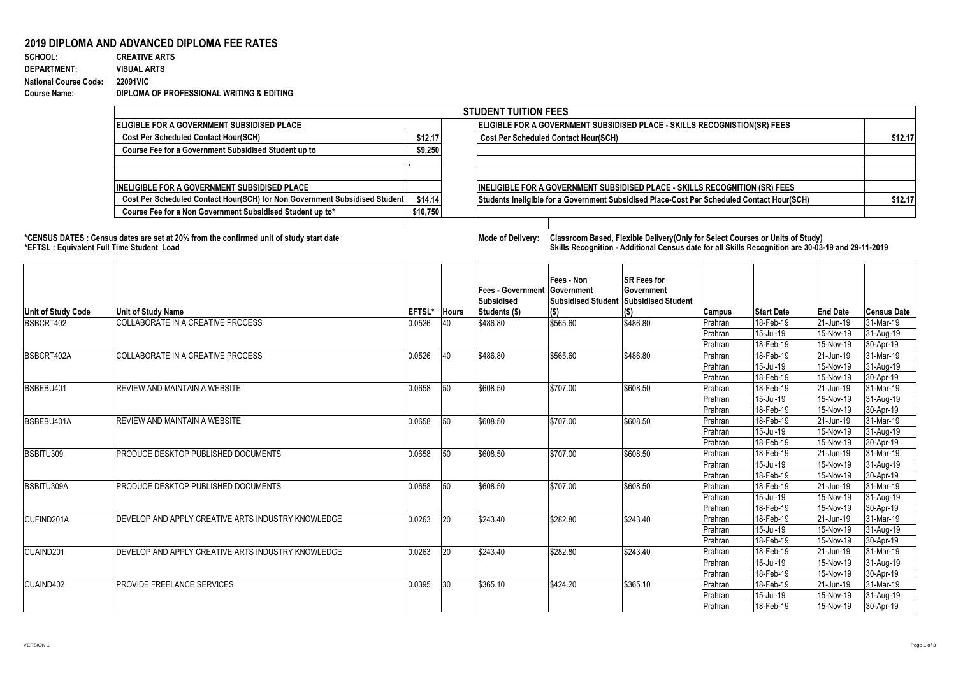## **2019 DIPLOMA AND ADVANCED DIPLOMA FEE RATES**<br>SCHOOL: CREATIVE ARTS

**SCHOOL: CREATIVE ARTS** 760 1 0.001315789 **DEPARTMENT: VISUAL ARTS National Course Code: 22091VIC Course Name: DIPLOMA OF PROFESSIONAL WRITING & EDITING**

| <b>STUDENT TUITION FEES</b>                                                |          |  |                                                                                            |         |  |  |  |  |  |
|----------------------------------------------------------------------------|----------|--|--------------------------------------------------------------------------------------------|---------|--|--|--|--|--|
| <b>IELIGIBLE FOR A GOVERNMENT SUBSIDISED PLACE</b>                         |          |  | ELIGIBLE FOR A GOVERNMENT SUBSIDISED PLACE - SKILLS RECOGNISTION(SR) FEES                  |         |  |  |  |  |  |
| <b>Cost Per Scheduled Contact Hour(SCH)</b>                                | \$12.17  |  | <b>Cost Per Scheduled Contact Hour(SCH)</b>                                                | \$12.17 |  |  |  |  |  |
| Course Fee for a Government Subsidised Student up to                       | \$9,250  |  |                                                                                            |         |  |  |  |  |  |
|                                                                            |          |  |                                                                                            |         |  |  |  |  |  |
|                                                                            |          |  |                                                                                            |         |  |  |  |  |  |
| <b>IINELIGIBLE FOR A GOVERNMENT SUBSIDISED PLACE</b>                       |          |  | <b>INELIGIBLE FOR A GOVERNMENT SUBSIDISED PLACE - SKILLS RECOGNITION (SR) FEES</b>         |         |  |  |  |  |  |
| Cost Per Scheduled Contact Hour(SCH) for Non Government Subsidised Student | \$14.14  |  | Students Ineligible for a Government Subsidised Place-Cost Per Scheduled Contact Hour(SCH) | \$12.17 |  |  |  |  |  |
| Course Fee for a Non Government Subsidised Student up to*                  | \$10,750 |  |                                                                                            |         |  |  |  |  |  |
|                                                                            |          |  |                                                                                            |         |  |  |  |  |  |

**\*CENSUS DATES : Census dates are set at 20% from the confirmed unit of study start date Mode of Delivery: Classroom Based, Flexible Delivery(Only for Select Courses or Units of Study) \*EFTSL : Equivalent Full Time Student Load Skills Recognition - Additional Census date for all Skills Recognition are 30-03-19 and 29-11-2019** 

| <b>Unit of Study Code</b> | Unit of Study Name                                 | EFTSL* | <b>Hours</b> | <b>Fees - Government Government</b><br><b>Subsidised</b><br>Students (\$) | Fees - Non<br><b>Subsidised Student</b><br>$($ \$) | <b>SR Fees for</b><br>Government<br><b>Subsidised Student</b><br>(\$) | <b>Campus</b> | <b>Start Date</b> | <b>End Date</b> | <b>Census Date</b> |
|---------------------------|----------------------------------------------------|--------|--------------|---------------------------------------------------------------------------|----------------------------------------------------|-----------------------------------------------------------------------|---------------|-------------------|-----------------|--------------------|
| BSBCRT402                 | COLLABORATE IN A CREATIVE PROCESS                  | 0.0526 | 40           | \$486.80                                                                  | \$565.60                                           | \$486.80                                                              | Prahran       | 18-Feb-19         | 21-Jun-19       | 31-Mar-19          |
|                           |                                                    |        |              |                                                                           |                                                    |                                                                       | Prahran       | 15-Jul-19         | 15-Nov-19       | 31-Aug-19          |
|                           |                                                    |        |              |                                                                           |                                                    |                                                                       | Prahran       | 18-Feb-19         | 15-Nov-19       | 30-Apr-19          |
| BSBCRT402A                | COLLABORATE IN A CREATIVE PROCESS                  | 0.0526 | 40           | \$486.80                                                                  | \$565.60                                           | \$486.80                                                              | Prahran       | 18-Feb-19         | 21-Jun-19       | 31-Mar-19          |
|                           |                                                    |        |              |                                                                           |                                                    |                                                                       | Prahran       | 15-Jul-19         | 15-Nov-19       | 31-Aug-19          |
|                           |                                                    |        |              |                                                                           |                                                    |                                                                       | Prahran       | 18-Feb-19         | 15-Nov-19       | 30-Apr-19          |
| BSBEBU401                 | REVIEW AND MAINTAIN A WEBSITE                      | 0.0658 | 50           | \$608.50                                                                  | \$707.00                                           | \$608.50                                                              | Prahran       | 18-Feb-19         | 21-Jun-19       | 31-Mar-19          |
|                           |                                                    |        |              |                                                                           |                                                    |                                                                       | Prahran       | 15-Jul-19         | 15-Nov-19       | 31-Aug-19          |
|                           |                                                    |        |              |                                                                           |                                                    |                                                                       | Prahran       | 18-Feb-19         | 15-Nov-19       | 30-Apr-19          |
| BSBEBU401A                | REVIEW AND MAINTAIN A WEBSITE                      | 0.0658 | 50           | \$608.50                                                                  | \$707.00                                           | \$608.50                                                              | Prahran       | 18-Feb-19         | 21-Jun-19       | 31-Mar-19          |
|                           |                                                    |        |              |                                                                           |                                                    |                                                                       | Prahran       | 15-Jul-19         | 15-Nov-19       | 31-Aug-19          |
|                           |                                                    |        |              |                                                                           |                                                    |                                                                       | Prahran       | 18-Feb-19         | 15-Nov-19       | 30-Apr-19          |
| BSBITU309                 | PRODUCE DESKTOP PUBLISHED DOCUMENTS                | 0.0658 | 50           | \$608.50                                                                  | \$707.00                                           | \$608.50                                                              | Prahran       | 18-Feb-19         | 21-Jun-19       | 31-Mar-19          |
|                           |                                                    |        |              |                                                                           |                                                    |                                                                       | Prahran       | 15-Jul-19         | 15-Nov-19       | 31-Aug-19          |
|                           |                                                    |        |              |                                                                           |                                                    |                                                                       | Prahran       | 18-Feb-19         | 15-Nov-19       | 30-Apr-19          |
| <b>BSBITU309A</b>         | <b>PRODUCE DESKTOP PUBLISHED DOCUMENTS</b>         | 0.0658 | 50           | \$608.50                                                                  | \$707.00                                           | \$608.50                                                              | Prahran       | 18-Feb-19         | 21-Jun-19       | 31-Mar-19          |
|                           |                                                    |        |              |                                                                           |                                                    |                                                                       | Prahran       | 15-Jul-19         | 15-Nov-19       | 31-Aug-19          |
|                           |                                                    |        |              |                                                                           |                                                    |                                                                       | Prahran       | 18-Feb-19         | 15-Nov-19       | 30-Apr-19          |
| CUFIND201A                | DEVELOP AND APPLY CREATIVE ARTS INDUSTRY KNOWLEDGE | 0.0263 | 20           | \$243.40                                                                  | \$282.80                                           | \$243.40                                                              | Prahran       | 18-Feb-19         | 21-Jun-19       | 31-Mar-19          |
|                           |                                                    |        |              |                                                                           |                                                    |                                                                       | Prahran       | 15-Jul-19         | 15-Nov-19       | 31-Aug-19          |
|                           |                                                    |        |              |                                                                           |                                                    |                                                                       | Prahran       | 18-Feb-19         | 15-Nov-19       | 30-Apr-19          |
| CUAIND <sub>201</sub>     | DEVELOP AND APPLY CREATIVE ARTS INDUSTRY KNOWLEDGE | 0.0263 | 20           | \$243.40                                                                  | \$282.80                                           | \$243.40                                                              | Prahran       | 18-Feb-19         | 21-Jun-19       | 31-Mar-19          |
|                           |                                                    |        |              |                                                                           |                                                    |                                                                       | Prahran       | 15-Jul-19         | 15-Nov-19       | 31-Aug-19          |
|                           |                                                    |        |              |                                                                           |                                                    |                                                                       | Prahran       | 18-Feb-19         | 15-Nov-19       | 30-Apr-19          |
| CUAIND402                 | PROVIDE FREELANCE SERVICES                         | 0.0395 | 30           | \$365.10                                                                  | \$424.20                                           | \$365.10                                                              | Prahran       | 18-Feb-19         | 21-Jun-19       | 31-Mar-19          |
|                           |                                                    |        |              |                                                                           |                                                    |                                                                       | Prahran       | 15-Jul-19         | 15-Nov-19       | 31-Aug-19          |
|                           |                                                    |        |              |                                                                           |                                                    |                                                                       | Prahran       | 18-Feb-19         | 15-Nov-19       | 30-Apr-19          |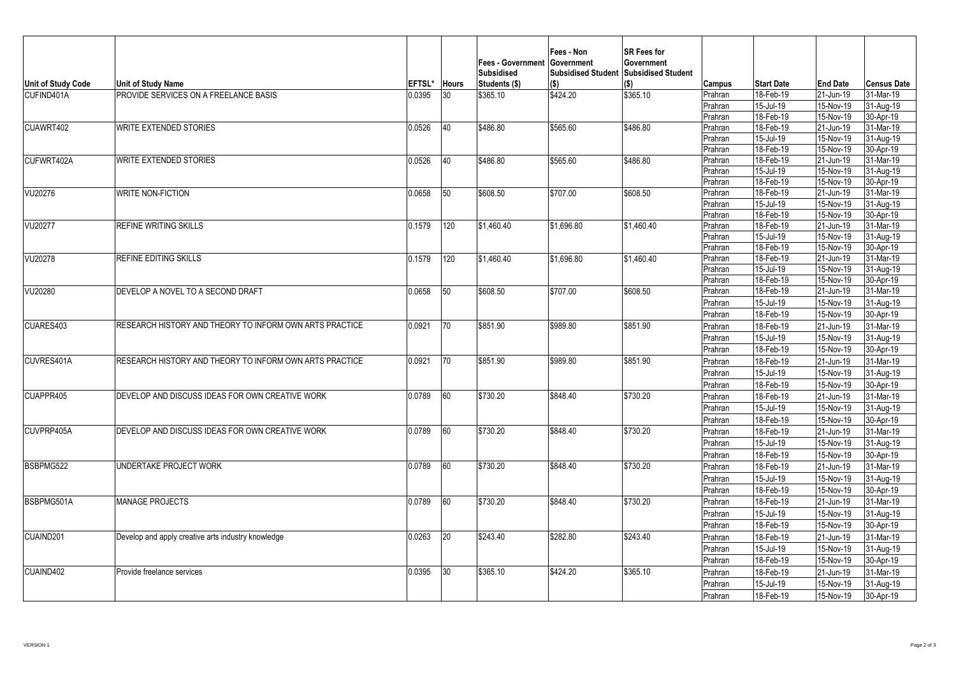| <b>Unit of Study Code</b> | Unit of Study Name                                      | <b>EFTSL*</b> | <b>Hours</b> | Fees - Government Government<br><b>Subsidised</b><br>Students (\$) | Fees - Non<br><b>Subsidised Student</b><br>$($ \$) | SR Fees for<br>Government<br><b>Subsidised Student</b><br>(\$) | Campus             | <b>Start Date</b>         | <b>End Date</b>        | <b>Census Date</b>     |
|---------------------------|---------------------------------------------------------|---------------|--------------|--------------------------------------------------------------------|----------------------------------------------------|----------------------------------------------------------------|--------------------|---------------------------|------------------------|------------------------|
| CUFIND401A                | PROVIDE SERVICES ON A FREELANCE BASIS                   | 0.0395        | 30           | \$365.10                                                           | \$424.20                                           | \$365.10                                                       | Prahran            | 18-Feb-19                 | 21-Jun-19              | 31-Mar-19              |
|                           |                                                         |               |              |                                                                    |                                                    |                                                                | Prahran            | 15-Jul-19                 | 15-Nov-19              | 31-Aug-19              |
|                           |                                                         |               |              |                                                                    |                                                    |                                                                | Prahran            | 18-Feb-19                 | 15-Nov-19              | 30-Apr-19              |
| CUAWRT402                 | <b>WRITE EXTENDED STORIES</b>                           | 0.0526        | 40           | \$486.80                                                           | \$565.60                                           | \$486.80                                                       | Prahran            | 18-Feb-19                 | 21-Jun-19              | 31-Mar-19              |
|                           |                                                         |               |              |                                                                    |                                                    |                                                                | Prahran            | 15-Jul-19                 | 15-Nov-19              | 31-Aug-19              |
|                           |                                                         |               |              |                                                                    |                                                    |                                                                | Prahran            | 18-Feb-19                 | 15-Nov-19              | 30-Apr-19              |
| CUFWRT402A                | <b>WRITE EXTENDED STORIES</b>                           | 0.0526        | 40           | \$486.80                                                           | \$565.60                                           | \$486.80                                                       | Prahran            | 18-Feb-19                 | 21-Jun-19              | 31-Mar-19              |
|                           |                                                         |               |              |                                                                    |                                                    |                                                                | Prahran            | $15$ -Jul-19<br>18-Feb-19 | 15-Nov-19<br>15-Nov-19 | 31-Aug-19<br>30-Apr-19 |
| VU20276                   | <b>WRITE NON-FICTION</b>                                | 0.0658        | 50           | \$608.50                                                           | \$707.00                                           | \$608.50                                                       | Prahran<br>Prahran | 18-Feb-19                 | 21-Jun-19              | 31-Mar-19              |
|                           |                                                         |               |              |                                                                    |                                                    |                                                                | Prahran            | 15-Jul-19                 | 15-Nov-19              | 31-Aug-19              |
|                           |                                                         |               |              |                                                                    |                                                    |                                                                | Prahran            | 18-Feb-19                 | 15-Nov-19              | 30-Apr-19              |
| VU20277                   | <b>REFINE WRITING SKILLS</b>                            | 0.1579        | 120          | \$1,460.40                                                         | \$1,696.80                                         | \$1,460.40                                                     | Prahran            | 18-Feb-19                 | 21-Jun-19              | 31-Mar-19              |
|                           |                                                         |               |              |                                                                    |                                                    |                                                                | Prahran            | 15-Jul-19                 | 15-Nov-19              | 31-Aug-19              |
|                           |                                                         |               |              |                                                                    |                                                    |                                                                | Prahran            | 18-Feb-19                 | 15-Nov-19              | 30-Apr-19              |
| VU20278                   | REFINE EDITING SKILLS                                   | 0.1579        | 120          | \$1,460.40                                                         | \$1,696.80                                         | \$1,460.40                                                     | Prahran            | 18-Feb-19                 | 21-Jun-19              | 31-Mar-19              |
|                           |                                                         |               |              |                                                                    |                                                    |                                                                | Prahran            | 15-Jul-19                 | 15-Nov-19              | 31-Aug-19              |
|                           |                                                         |               |              |                                                                    |                                                    |                                                                | Prahran            | 18-Feb-19                 | 15-Nov-19              | 30-Apr-19              |
| VU20280                   | DEVELOP A NOVEL TO A SECOND DRAFT                       | 0.0658        | 50           | \$608.50                                                           | \$707.00                                           | \$608.50                                                       | Prahran            | 18-Feb-19                 | 21-Jun-19              | 31-Mar-19              |
|                           |                                                         |               |              |                                                                    |                                                    |                                                                | Prahran            | 15-Jul-19                 | 15-Nov-19              | 31-Aug-19              |
|                           |                                                         |               |              |                                                                    |                                                    |                                                                | Prahran            | 18-Feb-19                 | 15-Nov-19              | 30-Apr-19              |
| CUARES403                 | RESEARCH HISTORY AND THEORY TO INFORM OWN ARTS PRACTICE | 0.0921        | 70           | \$851.90                                                           | \$989.80                                           | \$851.90                                                       | Prahran            | 18-Feb-19                 | 21-Jun-19              | 31-Mar-19              |
|                           |                                                         |               |              |                                                                    |                                                    |                                                                | Prahran            | 15-Jul-19                 | 15-Nov-19              | 31-Aug-19              |
|                           |                                                         |               |              |                                                                    |                                                    |                                                                | Prahran            | 18-Feb-19                 | 15-Nov-19              | 30-Apr-19              |
| CUVRES401A                | RESEARCH HISTORY AND THEORY TO INFORM OWN ARTS PRACTICE | 0.0921        | 70           | \$851.90                                                           | \$989.80                                           | \$851.90                                                       | Prahran            | 18-Feb-19                 | 21-Jun-19              | 31-Mar-19              |
|                           |                                                         |               |              |                                                                    |                                                    |                                                                | Prahran            | 15-Jul-19                 | 15-Nov-19              | 31-Aug-19              |
|                           |                                                         |               |              |                                                                    |                                                    |                                                                | Prahran            | 18-Feb-19                 | 15-Nov-19              | 30-Apr-19              |
| CUAPPR405                 | DEVELOP AND DISCUSS IDEAS FOR OWN CREATIVE WORK         | 0.0789        | 60           | \$730.20                                                           | \$848.40                                           | \$730.20                                                       | Prahran            | 18-Feb-19                 | 21-Jun-19              | 31-Mar-19              |
|                           |                                                         |               |              |                                                                    |                                                    |                                                                | Prahran            | 15-Jul-19                 | 15-Nov-19              | 31-Aug-19              |
|                           |                                                         |               |              |                                                                    |                                                    |                                                                | Prahran            | 18-Feb-19                 | 15-Nov-19              | 30-Apr-19              |
| CUVPRP405A                | DEVELOP AND DISCUSS IDEAS FOR OWN CREATIVE WORK         | 0.0789        | 60           | \$730.20                                                           | \$848.40                                           | \$730.20                                                       | Prahran            | 18-Feb-19                 | 21-Jun-19              | 31-Mar-19              |
|                           |                                                         |               |              |                                                                    |                                                    |                                                                | Prahran            | 15-Jul-19                 | 15-Nov-19              | 31-Aug-19              |
|                           |                                                         |               |              |                                                                    |                                                    |                                                                | Prahran            | 18-Feb-19                 | 15-Nov-19              | 30-Apr-19              |
| BSBPMG522                 | UNDERTAKE PROJECT WORK                                  | 0.0789        | 60           | \$730.20                                                           | \$848.40                                           | \$730.20                                                       | Prahran            | 18-Feb-19                 | 21-Jun-19              | 31-Mar-19              |
|                           |                                                         |               |              |                                                                    |                                                    |                                                                | Prahran            | 15-Jul-19                 | 15-Nov-19              | 31-Aug-19              |
|                           |                                                         |               |              |                                                                    |                                                    |                                                                | Prahran            | 18-Feb-19                 | 15-Nov-19              | 30-Apr-19              |
| BSBPMG501A                | <b>MANAGE PROJECTS</b>                                  | 0.0789        | 60           | \$730.20                                                           | \$848.40                                           | \$730.20                                                       | Prahran            | 18-Feb-19                 | 21-Jun-19              | 31-Mar-19              |
|                           |                                                         |               |              |                                                                    |                                                    |                                                                | Prahran            | 15-Jul-19                 | 15-Nov-19              | 31-Aug-19              |
|                           |                                                         |               |              |                                                                    |                                                    |                                                                | Prahran            | 18-Feb-19                 | 15-Nov-19              | 30-Apr-19              |
| CUAIND201                 | Develop and apply creative arts industry knowledge      | 0.0263        | 20           | \$243.40                                                           | \$282.80                                           | \$243.40                                                       | Prahran            | 18-Feb-19                 | 21-Jun-19              | 31-Mar-19              |
|                           |                                                         |               |              |                                                                    |                                                    |                                                                | Prahran            | 15-Jul-19                 | 15-Nov-19              | 31-Aug-19              |
|                           |                                                         |               |              |                                                                    |                                                    |                                                                | Prahran            | 18-Feb-19                 | 15-Nov-19              | 30-Apr-19              |
| CUAIND402                 | Provide freelance services                              | 0.0395        | 30           | \$365.10                                                           | \$424.20                                           | \$365.10                                                       | Prahran            | 18-Feb-19                 | 21-Jun-19              | 31-Mar-19              |
|                           |                                                         |               |              |                                                                    |                                                    |                                                                | Prahran            | 15-Jul-19                 | 15-Nov-19              | 31-Aug-19              |
|                           |                                                         |               |              |                                                                    |                                                    |                                                                | Prahran            | 18-Feb-19                 | 15-Nov-19              | 30-Apr-19              |
|                           |                                                         |               |              |                                                                    |                                                    |                                                                |                    |                           |                        |                        |